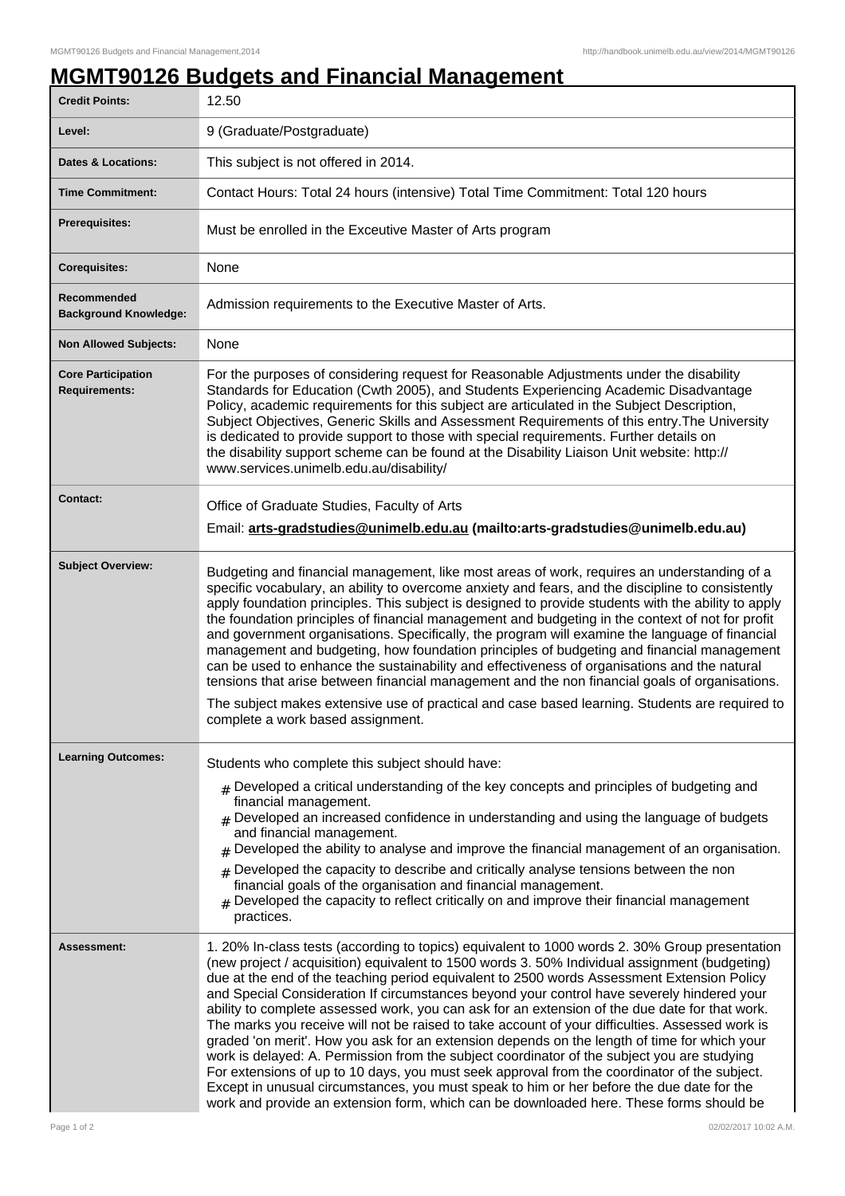## **MGMT90126 Budgets and Financial Management**

| <b>Credit Points:</b>                             | 12.50                                                                                                                                                                                                                                                                                                                                                                                                                                                                                                                                                                                                                                                                                                                                                                                                                                                                                                                                                                                                                                                                                   |
|---------------------------------------------------|-----------------------------------------------------------------------------------------------------------------------------------------------------------------------------------------------------------------------------------------------------------------------------------------------------------------------------------------------------------------------------------------------------------------------------------------------------------------------------------------------------------------------------------------------------------------------------------------------------------------------------------------------------------------------------------------------------------------------------------------------------------------------------------------------------------------------------------------------------------------------------------------------------------------------------------------------------------------------------------------------------------------------------------------------------------------------------------------|
| Level:                                            | 9 (Graduate/Postgraduate)                                                                                                                                                                                                                                                                                                                                                                                                                                                                                                                                                                                                                                                                                                                                                                                                                                                                                                                                                                                                                                                               |
| <b>Dates &amp; Locations:</b>                     | This subject is not offered in 2014.                                                                                                                                                                                                                                                                                                                                                                                                                                                                                                                                                                                                                                                                                                                                                                                                                                                                                                                                                                                                                                                    |
| <b>Time Commitment:</b>                           | Contact Hours: Total 24 hours (intensive) Total Time Commitment: Total 120 hours                                                                                                                                                                                                                                                                                                                                                                                                                                                                                                                                                                                                                                                                                                                                                                                                                                                                                                                                                                                                        |
| <b>Prerequisites:</b>                             | Must be enrolled in the Exceutive Master of Arts program                                                                                                                                                                                                                                                                                                                                                                                                                                                                                                                                                                                                                                                                                                                                                                                                                                                                                                                                                                                                                                |
| <b>Corequisites:</b>                              | None                                                                                                                                                                                                                                                                                                                                                                                                                                                                                                                                                                                                                                                                                                                                                                                                                                                                                                                                                                                                                                                                                    |
| Recommended<br><b>Background Knowledge:</b>       | Admission requirements to the Executive Master of Arts.                                                                                                                                                                                                                                                                                                                                                                                                                                                                                                                                                                                                                                                                                                                                                                                                                                                                                                                                                                                                                                 |
| <b>Non Allowed Subjects:</b>                      | None                                                                                                                                                                                                                                                                                                                                                                                                                                                                                                                                                                                                                                                                                                                                                                                                                                                                                                                                                                                                                                                                                    |
| <b>Core Participation</b><br><b>Requirements:</b> | For the purposes of considering request for Reasonable Adjustments under the disability<br>Standards for Education (Cwth 2005), and Students Experiencing Academic Disadvantage<br>Policy, academic requirements for this subject are articulated in the Subject Description,<br>Subject Objectives, Generic Skills and Assessment Requirements of this entry. The University<br>is dedicated to provide support to those with special requirements. Further details on<br>the disability support scheme can be found at the Disability Liaison Unit website: http://<br>www.services.unimelb.edu.au/disability/                                                                                                                                                                                                                                                                                                                                                                                                                                                                        |
| <b>Contact:</b>                                   | Office of Graduate Studies, Faculty of Arts<br>Email: arts-gradstudies@unimelb.edu.au (mailto:arts-gradstudies@unimelb.edu.au)                                                                                                                                                                                                                                                                                                                                                                                                                                                                                                                                                                                                                                                                                                                                                                                                                                                                                                                                                          |
| <b>Subject Overview:</b>                          | Budgeting and financial management, like most areas of work, requires an understanding of a<br>specific vocabulary, an ability to overcome anxiety and fears, and the discipline to consistently<br>apply foundation principles. This subject is designed to provide students with the ability to apply<br>the foundation principles of financial management and budgeting in the context of not for profit<br>and government organisations. Specifically, the program will examine the language of financial<br>management and budgeting, how foundation principles of budgeting and financial management<br>can be used to enhance the sustainability and effectiveness of organisations and the natural<br>tensions that arise between financial management and the non financial goals of organisations.<br>The subject makes extensive use of practical and case based learning. Students are required to<br>complete a work based assignment.                                                                                                                                     |
| <b>Learning Outcomes:</b>                         | Students who complete this subject should have:<br>$_{\rm \#}$ Developed a critical understanding of the key concepts and principles of budgeting and<br>financial management.<br>$#$ Developed an increased confidence in understanding and using the language of budgets<br>and financial management.<br>Developed the ability to analyse and improve the financial management of an organisation.<br>#<br>Developed the capacity to describe and critically analyse tensions between the non<br>#<br>financial goals of the organisation and financial management.<br>Developed the capacity to reflect critically on and improve their financial management<br>practices.                                                                                                                                                                                                                                                                                                                                                                                                           |
| <b>Assessment:</b>                                | 1. 20% In-class tests (according to topics) equivalent to 1000 words 2. 30% Group presentation<br>(new project / acquisition) equivalent to 1500 words 3. 50% Individual assignment (budgeting)<br>due at the end of the teaching period equivalent to 2500 words Assessment Extension Policy<br>and Special Consideration If circumstances beyond your control have severely hindered your<br>ability to complete assessed work, you can ask for an extension of the due date for that work.<br>The marks you receive will not be raised to take account of your difficulties. Assessed work is<br>graded 'on merit'. How you ask for an extension depends on the length of time for which your<br>work is delayed: A. Permission from the subject coordinator of the subject you are studying<br>For extensions of up to 10 days, you must seek approval from the coordinator of the subject.<br>Except in unusual circumstances, you must speak to him or her before the due date for the<br>work and provide an extension form, which can be downloaded here. These forms should be |